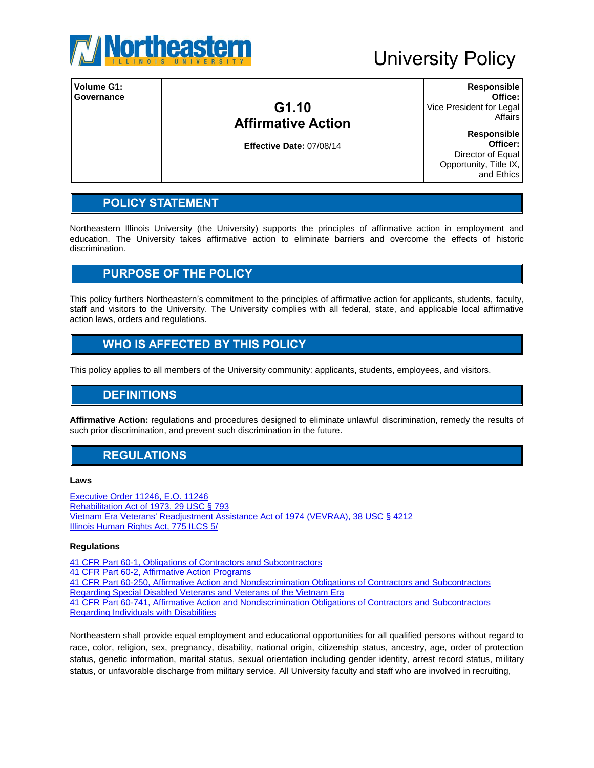

| Volume G1:<br>Governance | G1.10<br><b>Affirmative Action</b> | <b>Responsible</b><br>Office:<br>Vice President for Legal<br>Affairs |
|--------------------------|------------------------------------|----------------------------------------------------------------------|
|                          |                                    | <b>Responsible</b>                                                   |
|                          | Effective Date: 07/08/14           | Officer:                                                             |
|                          |                                    | Director of Equal                                                    |
|                          |                                    | Opportunity, Title IX,                                               |
|                          |                                    | and Ethics                                                           |

## **POLICY STATEMENT**

Northeastern Illinois University (the University) supports the principles of affirmative action in employment and education. The University takes affirmative action to eliminate barriers and overcome the effects of historic discrimination.

## **PURPOSE OF THE POLICY**

This policy furthers Northeastern's commitment to the principles of affirmative action for applicants, students, faculty, staff and visitors to the University. The University complies with all federal, state, and applicable local affirmative action laws, orders and regulations.

## **WHO IS AFFECTED BY THIS POLICY**

This policy applies to all members of the University community: applicants, students, employees, and visitors.

#### **DEFINITIONS**

**Affirmative Action:** regulations and procedures designed to eliminate unlawful discrimination, remedy the results of such prior discrimination, and prevent such discrimination in the future.

### **REGULATIONS**

#### **Laws**

[Executive Order 11246,](http://www.dol.gov/ofccp/regs/statutes/eo11246.htm) E.O. 11246 [Rehabilitation Act of 1973, 29 USC § 793](http://www.gpo.gov/fdsys/pkg/USCODE-1999-title29/html/USCODE-1999-title29-chap16-subchapV-sec793.htm) [Vietnam Era Veterans' Readjustment Assistance Act of 1974](http://www.dol.gov/ofccp/regs/statutes/4212.htm) (VEVRAA), 38 USC § 4212 [Illinois Human Rights Act, 775 ILCS 5/](http://www.ilga.gov/legislation/ilcs/ilcs5.asp?ActID=2266&ChapterID=64)

#### **Regulations**

[41 CFR Part 60-1, Obligations of Contractors and Subcontractors](http://www.ecfr.gov/cgi-bin/retrieveECFR?gp=&SID=c5734fedfeef5ba74c45423e6b000c52&r=PART&n=41y1.2.3.1.1) [41 CFR Part 60-2, Affirmative Action Programs](http://www.ecfr.gov/cgi-bin/text-idx?c=ecfr;rgn=div5;view=text;node=41:1.2.3.1.2;idno=41;sid=af04c4ee5f6e9022a516ddc908bc2d21;cc=ecfr) [41 CFR Part 60-250, Affirmative Action and Nondiscrimination Obligations of Contractors and Subcontractors](http://www.ecfr.gov/cgi-bin/text-idx?c=ecfr;sid=9ec109bd53d639b9741230eff258d1b1;rgn=div5;view=text;node=41:1.2.3.1.9;idno=41;cc=ecfr)  [Regarding Special Disabled Veterans and Veterans of the Vietnam Era](http://www.ecfr.gov/cgi-bin/text-idx?c=ecfr;sid=9ec109bd53d639b9741230eff258d1b1;rgn=div5;view=text;node=41:1.2.3.1.9;idno=41;cc=ecfr) [41 CFR Part 60-741, Affirmative Action and Nondiscrimination Obligations of Contractors and Subcontractors](http://www.ecfr.gov/cgi-bin/retrieveECFR?gp=&SID=a575912ece319e032fe618eb8b6f3c06&r=PART&n=41y1.2.3.1.10)  [Regarding Individuals with Disabilities](http://www.ecfr.gov/cgi-bin/retrieveECFR?gp=&SID=a575912ece319e032fe618eb8b6f3c06&r=PART&n=41y1.2.3.1.10) 

Northeastern shall provide equal employment and educational opportunities for all qualified persons without regard to race, color, religion, sex, pregnancy, disability, national origin, citizenship status, ancestry, age, order of protection status, genetic information, marital status, sexual orientation including gender identity, arrest record status, military status, or unfavorable discharge from military service. All University faculty and staff who are involved in recruiting,